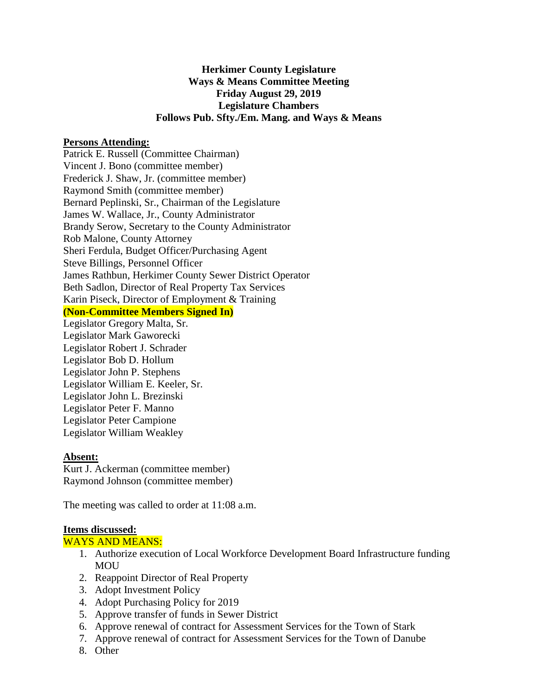# **Herkimer County Legislature Ways & Means Committee Meeting Friday August 29, 2019 Legislature Chambers Follows Pub. Sfty./Em. Mang. and Ways & Means**

### **Persons Attending:**

Patrick E. Russell (Committee Chairman) Vincent J. Bono (committee member) Frederick J. Shaw, Jr. (committee member) Raymond Smith (committee member) Bernard Peplinski, Sr., Chairman of the Legislature James W. Wallace, Jr., County Administrator Brandy Serow, Secretary to the County Administrator Rob Malone, County Attorney Sheri Ferdula, Budget Officer/Purchasing Agent Steve Billings, Personnel Officer James Rathbun, Herkimer County Sewer District Operator Beth Sadlon, Director of Real Property Tax Services Karin Piseck, Director of Employment & Training

## **(Non-Committee Members Signed In)**

Legislator Gregory Malta, Sr. Legislator Mark Gaworecki Legislator Robert J. Schrader Legislator Bob D. Hollum Legislator John P. Stephens Legislator William E. Keeler, Sr. Legislator John L. Brezinski Legislator Peter F. Manno Legislator Peter Campione Legislator William Weakley

#### **Absent:**

Kurt J. Ackerman (committee member) Raymond Johnson (committee member)

The meeting was called to order at 11:08 a.m.

#### **Items discussed:**

#### WAYS AND MEANS:

- 1. Authorize execution of Local Workforce Development Board Infrastructure funding MOU
- 2. Reappoint Director of Real Property
- 3. Adopt Investment Policy
- 4. Adopt Purchasing Policy for 2019
- 5. Approve transfer of funds in Sewer District
- 6. Approve renewal of contract for Assessment Services for the Town of Stark
- 7. Approve renewal of contract for Assessment Services for the Town of Danube
- 8. Other